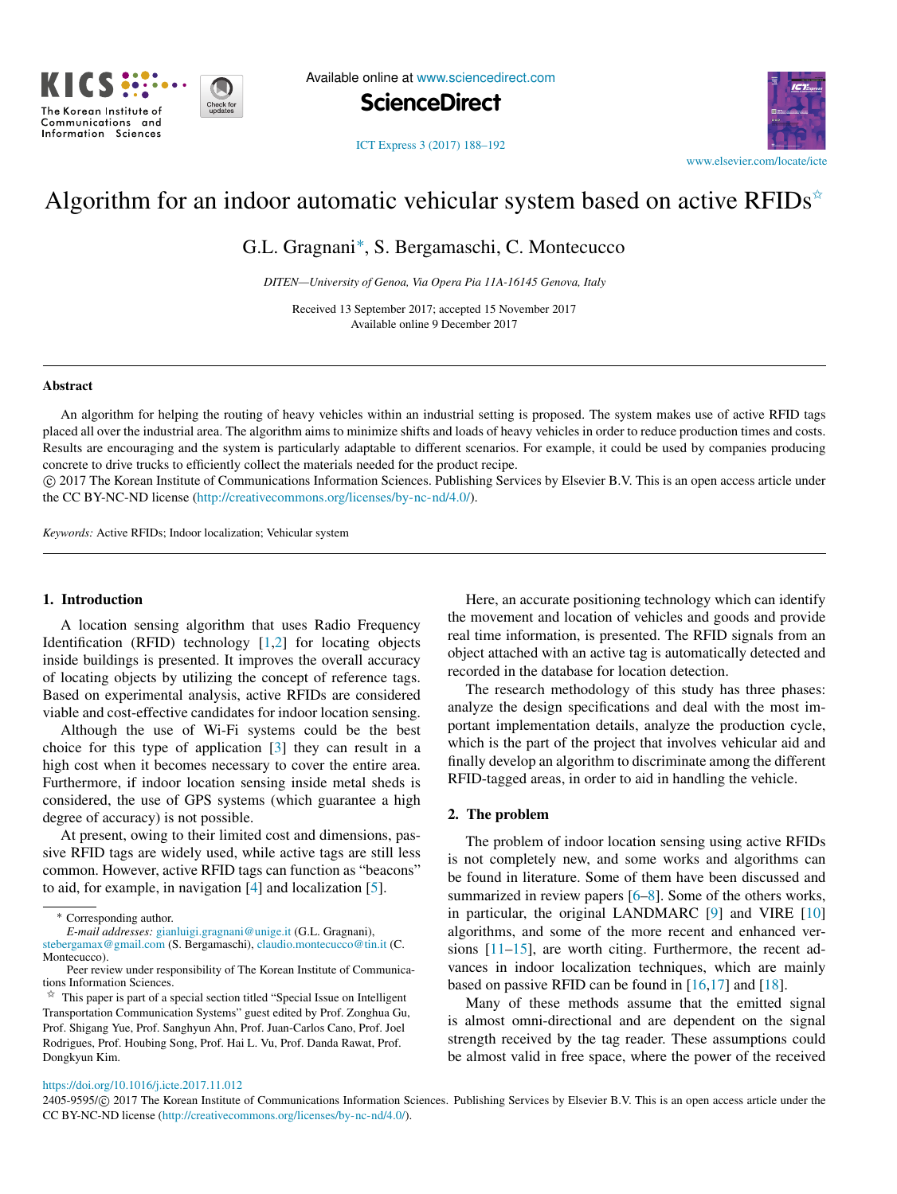

Available online at [www.sciencedirect.com](http://www.elsevier.com/locate/icte)

**ScienceDirect**



[ICT Express 3 \(2017\) 188–192](https://doi.org/10.1016/j.icte.2017.11.012)

# Algorithm for an indoor automatic vehicular system based on active RFIDs<sup> $\star$ </sup>

G.L. Gragnani[∗](#page-0-1) , S. Bergamaschi, C. Montecucco

*DITEN—University of Genoa, Via Opera Pia 11A-16145 Genova, Italy*

Received 13 September 2017; accepted 15 November 2017 Available online 9 December 2017

#### Abstract

An algorithm for helping the routing of heavy vehicles within an industrial setting is proposed. The system makes use of active RFID tags placed all over the industrial area. The algorithm aims to minimize shifts and loads of heavy vehicles in order to reduce production times and costs. Results are encouraging and the system is particularly adaptable to different scenarios. For example, it could be used by companies producing concrete to drive trucks to efficiently collect the materials needed for the product recipe.

⃝c 2017 The Korean Institute of Communications Information Sciences. Publishing Services by Elsevier B.V. This is an open access article under the CC BY-NC-ND license [\(http://creativecommons.org/licenses/by-nc-nd/4.0/\)](http://creativecommons.org/licenses/by-nc-nd/4.0/).

*Keywords:* Active RFIDs; Indoor localization; Vehicular system

# 1. Introduction

A location sensing algorithm that uses Radio Frequency Identification (RFID) technology [\[1,](#page-3-0)[2\]](#page-3-1) for locating objects inside buildings is presented. It improves the overall accuracy of locating objects by utilizing the concept of reference tags. Based on experimental analysis, active RFIDs are considered viable and cost-effective candidates for indoor location sensing.

Although the use of Wi-Fi systems could be the best choice for this type of application [\[3\]](#page-3-2) they can result in a high cost when it becomes necessary to cover the entire area. Furthermore, if indoor location sensing inside metal sheds is considered, the use of GPS systems (which guarantee a high degree of accuracy) is not possible.

At present, owing to their limited cost and dimensions, passive RFID tags are widely used, while active tags are still less common. However, active RFID tags can function as "beacons" to aid, for example, in navigation [\[4\]](#page-3-3) and localization [\[5\]](#page-3-4).

*E-mail addresses:* [gianluigi.gragnani@unige.it](mailto:gianluigi.gragnani@unige.it) (G.L. Gragnani),

<span id="page-0-0"></span> $\overrightarrow{r}$  This paper is part of a special section titled "Special Issue on Intelligent Transportation Communication Systems" guest edited by Prof. Zonghua Gu, Prof. Shigang Yue, Prof. Sanghyun Ahn, Prof. Juan-Carlos Cano, Prof. Joel Rodrigues, Prof. Houbing Song, Prof. Hai L. Vu, Prof. Danda Rawat, Prof. Dongkyun Kim.

Here, an accurate positioning technology which can identify the movement and location of vehicles and goods and provide real time information, is presented. The RFID signals from an object attached with an active tag is automatically detected and recorded in the database for location detection.

The research methodology of this study has three phases: analyze the design specifications and deal with the most important implementation details, analyze the production cycle, which is the part of the project that involves vehicular aid and finally develop an algorithm to discriminate among the different RFID-tagged areas, in order to aid in handling the vehicle.

#### 2. The problem

The problem of indoor location sensing using active RFIDs is not completely new, and some works and algorithms can be found in literature. Some of them have been discussed and summarized in review papers [\[6](#page-3-5)[–8\]](#page-4-0). Some of the others works, in particular, the original LANDMARC [\[9\]](#page-4-1) and VIRE [\[10\]](#page-4-2) algorithms, and some of the more recent and enhanced versions [\[11](#page-4-3)[–15\]](#page-4-4), are worth citing. Furthermore, the recent advances in indoor localization techniques, which are mainly based on passive RFID can be found in  $[16,17]$  $[16,17]$  and  $[18]$ .

Many of these methods assume that the emitted signal is almost omni-directional and are dependent on the signal strength received by the tag reader. These assumptions could be almost valid in free space, where the power of the received

#### <https://doi.org/10.1016/j.icte.2017.11.012>

2405-9595/© 2017 The Korean Institute of Communications Information Sciences. Publishing Services by Elsevier B.V. This is an open access article under the CC BY-NC-ND license [\(http://creativecommons.org/licenses/by-nc-nd/4.0/\)](http://creativecommons.org/licenses/by-nc-nd/4.0/).

<span id="page-0-1"></span><sup>∗</sup> Corresponding author.

[stebergamax@gmail.com](mailto:stebergamax@gmail.com) (S. Bergamaschi), [claudio.montecucco@tin.it](mailto:claudio.montecucco@tin.it) (C. Montecucco).

Peer review under responsibility of The Korean Institute of Communications Information Sciences.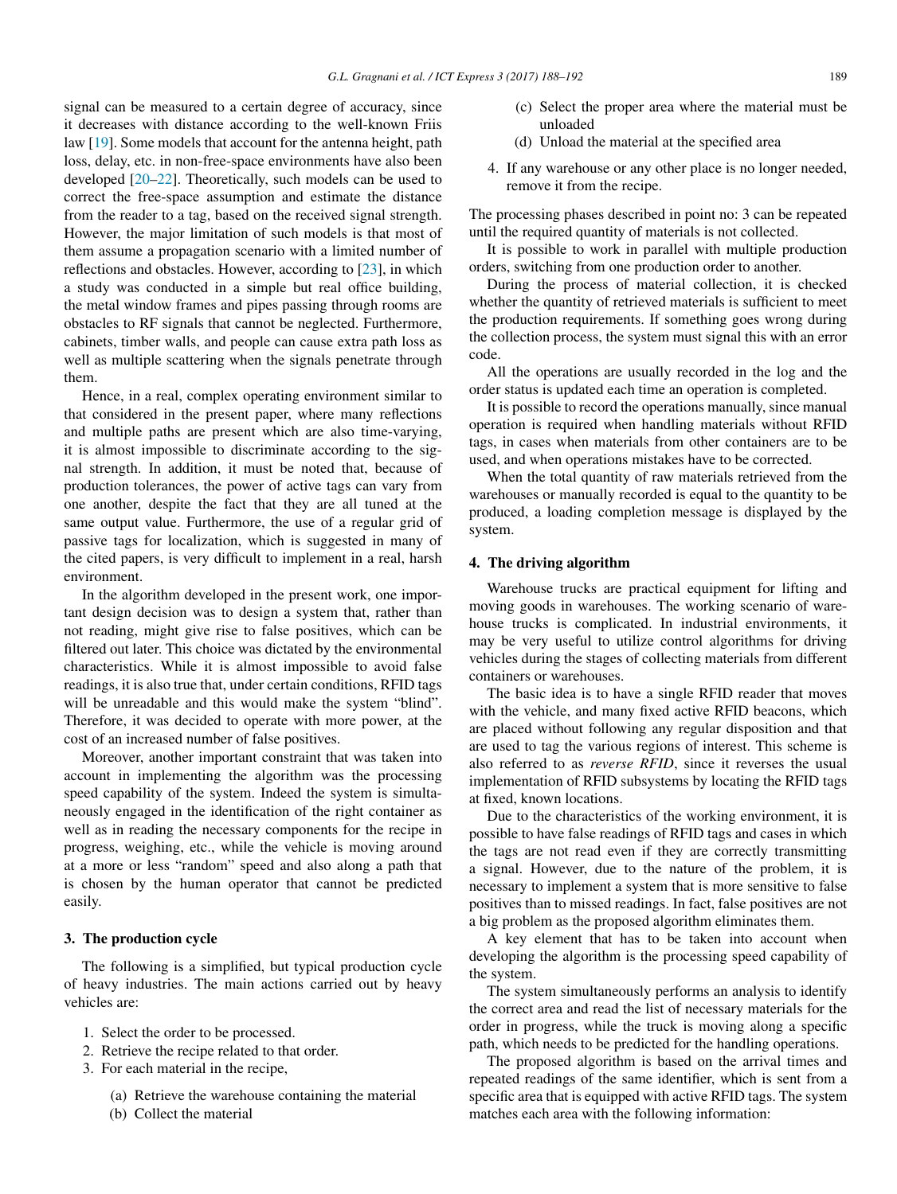signal can be measured to a certain degree of accuracy, since it decreases with distance according to the well-known Friis law [\[19\]](#page-4-8). Some models that account for the antenna height, path loss, delay, etc. in non-free-space environments have also been developed [\[20–](#page-4-9)[22\]](#page-4-10). Theoretically, such models can be used to correct the free-space assumption and estimate the distance from the reader to a tag, based on the received signal strength. However, the major limitation of such models is that most of them assume a propagation scenario with a limited number of reflections and obstacles. However, according to [\[23\]](#page-4-11), in which a study was conducted in a simple but real office building, the metal window frames and pipes passing through rooms are obstacles to RF signals that cannot be neglected. Furthermore, cabinets, timber walls, and people can cause extra path loss as well as multiple scattering when the signals penetrate through them.

Hence, in a real, complex operating environment similar to that considered in the present paper, where many reflections and multiple paths are present which are also time-varying, it is almost impossible to discriminate according to the signal strength. In addition, it must be noted that, because of production tolerances, the power of active tags can vary from one another, despite the fact that they are all tuned at the same output value. Furthermore, the use of a regular grid of passive tags for localization, which is suggested in many of the cited papers, is very difficult to implement in a real, harsh environment.

In the algorithm developed in the present work, one important design decision was to design a system that, rather than not reading, might give rise to false positives, which can be filtered out later. This choice was dictated by the environmental characteristics. While it is almost impossible to avoid false readings, it is also true that, under certain conditions, RFID tags will be unreadable and this would make the system "blind". Therefore, it was decided to operate with more power, at the cost of an increased number of false positives.

Moreover, another important constraint that was taken into account in implementing the algorithm was the processing speed capability of the system. Indeed the system is simultaneously engaged in the identification of the right container as well as in reading the necessary components for the recipe in progress, weighing, etc., while the vehicle is moving around at a more or less "random" speed and also along a path that is chosen by the human operator that cannot be predicted easily.

# 3. The production cycle

The following is a simplified, but typical production cycle of heavy industries. The main actions carried out by heavy vehicles are:

- 1. Select the order to be processed.
- 2. Retrieve the recipe related to that order.
- 3. For each material in the recipe,
	- (a) Retrieve the warehouse containing the material
	- (b) Collect the material
- (c) Select the proper area where the material must be unloaded
- (d) Unload the material at the specified area
- 4. If any warehouse or any other place is no longer needed, remove it from the recipe.

The processing phases described in point no: 3 can be repeated until the required quantity of materials is not collected.

It is possible to work in parallel with multiple production orders, switching from one production order to another.

During the process of material collection, it is checked whether the quantity of retrieved materials is sufficient to meet the production requirements. If something goes wrong during the collection process, the system must signal this with an error code.

All the operations are usually recorded in the log and the order status is updated each time an operation is completed.

It is possible to record the operations manually, since manual operation is required when handling materials without RFID tags, in cases when materials from other containers are to be used, and when operations mistakes have to be corrected.

When the total quantity of raw materials retrieved from the warehouses or manually recorded is equal to the quantity to be produced, a loading completion message is displayed by the system.

#### 4. The driving algorithm

Warehouse trucks are practical equipment for lifting and moving goods in warehouses. The working scenario of warehouse trucks is complicated. In industrial environments, it may be very useful to utilize control algorithms for driving vehicles during the stages of collecting materials from different containers or warehouses.

The basic idea is to have a single RFID reader that moves with the vehicle, and many fixed active RFID beacons, which are placed without following any regular disposition and that are used to tag the various regions of interest. This scheme is also referred to as *reverse RFID*, since it reverses the usual implementation of RFID subsystems by locating the RFID tags at fixed, known locations.

Due to the characteristics of the working environment, it is possible to have false readings of RFID tags and cases in which the tags are not read even if they are correctly transmitting a signal. However, due to the nature of the problem, it is necessary to implement a system that is more sensitive to false positives than to missed readings. In fact, false positives are not a big problem as the proposed algorithm eliminates them.

A key element that has to be taken into account when developing the algorithm is the processing speed capability of the system.

The system simultaneously performs an analysis to identify the correct area and read the list of necessary materials for the order in progress, while the truck is moving along a specific path, which needs to be predicted for the handling operations.

The proposed algorithm is based on the arrival times and repeated readings of the same identifier, which is sent from a specific area that is equipped with active RFID tags. The system matches each area with the following information: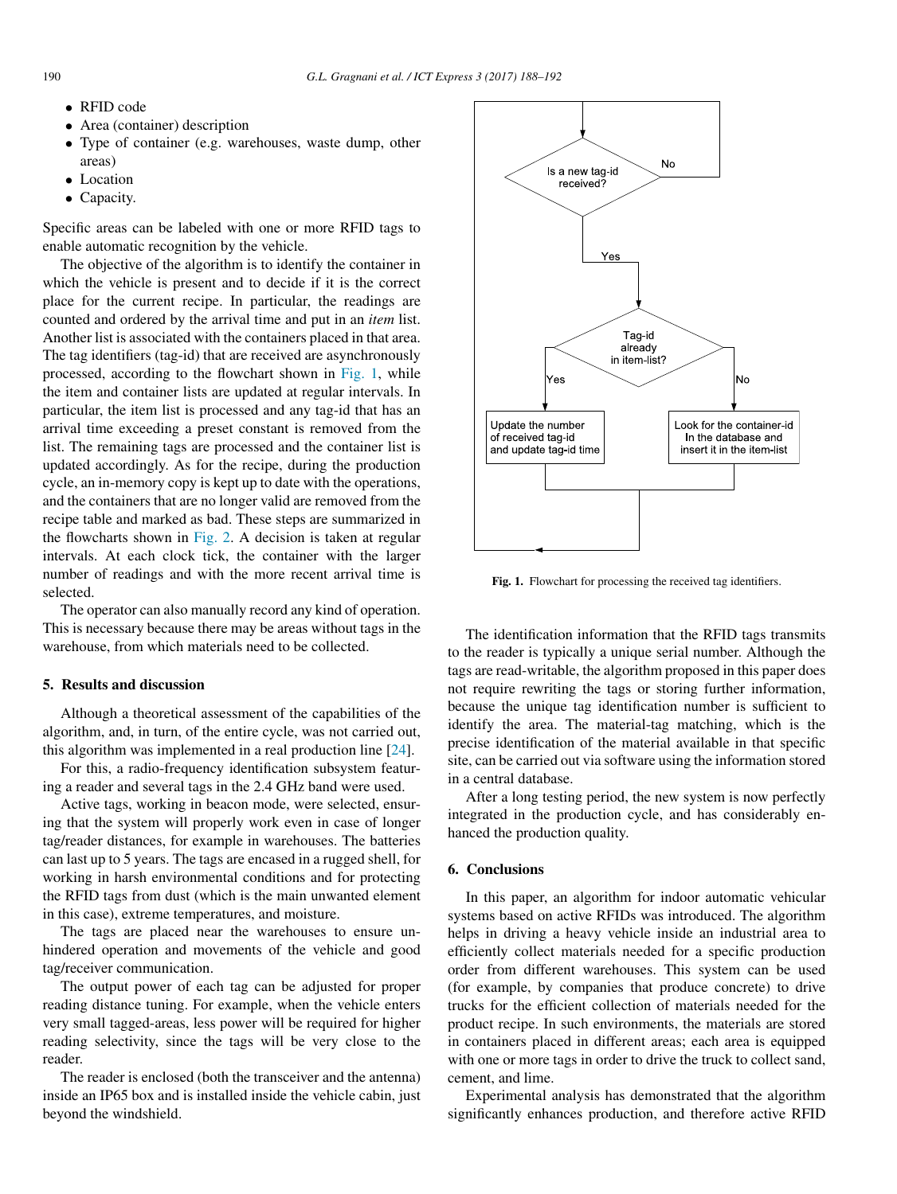- RFID code
- Area (container) description
- Type of container (e.g. warehouses, waste dump, other areas)
- Location
- Capacity.

Specific areas can be labeled with one or more RFID tags to enable automatic recognition by the vehicle.

The objective of the algorithm is to identify the container in which the vehicle is present and to decide if it is the correct place for the current recipe. In particular, the readings are counted and ordered by the arrival time and put in an *item* list. Another list is associated with the containers placed in that area. The tag identifiers (tag-id) that are received are asynchronously processed, according to the flowchart shown in [Fig. 1,](#page-2-0) while the item and container lists are updated at regular intervals. In particular, the item list is processed and any tag-id that has an arrival time exceeding a preset constant is removed from the list. The remaining tags are processed and the container list is updated accordingly. As for the recipe, during the production cycle, an in-memory copy is kept up to date with the operations, and the containers that are no longer valid are removed from the recipe table and marked as bad. These steps are summarized in the flowcharts shown in [Fig. 2.](#page-3-6) A decision is taken at regular intervals. At each clock tick, the container with the larger number of readings and with the more recent arrival time is selected.

The operator can also manually record any kind of operation. This is necessary because there may be areas without tags in the warehouse, from which materials need to be collected.

# 5. Results and discussion

Although a theoretical assessment of the capabilities of the algorithm, and, in turn, of the entire cycle, was not carried out, this algorithm was implemented in a real production line [\[24\]](#page-4-12).

For this, a radio-frequency identification subsystem featuring a reader and several tags in the 2.4 GHz band were used.

Active tags, working in beacon mode, were selected, ensuring that the system will properly work even in case of longer tag/reader distances, for example in warehouses. The batteries can last up to 5 years. The tags are encased in a rugged shell, for working in harsh environmental conditions and for protecting the RFID tags from dust (which is the main unwanted element in this case), extreme temperatures, and moisture.

The tags are placed near the warehouses to ensure unhindered operation and movements of the vehicle and good tag/receiver communication.

The output power of each tag can be adjusted for proper reading distance tuning. For example, when the vehicle enters very small tagged-areas, less power will be required for higher reading selectivity, since the tags will be very close to the reader.

The reader is enclosed (both the transceiver and the antenna) inside an IP65 box and is installed inside the vehicle cabin, just beyond the windshield.

<span id="page-2-0"></span>

Fig. 1. Flowchart for processing the received tag identifiers.

The identification information that the RFID tags transmits to the reader is typically a unique serial number. Although the tags are read-writable, the algorithm proposed in this paper does not require rewriting the tags or storing further information, because the unique tag identification number is sufficient to identify the area. The material-tag matching, which is the precise identification of the material available in that specific site, can be carried out via software using the information stored in a central database.

After a long testing period, the new system is now perfectly integrated in the production cycle, and has considerably enhanced the production quality.

## 6. Conclusions

In this paper, an algorithm for indoor automatic vehicular systems based on active RFIDs was introduced. The algorithm helps in driving a heavy vehicle inside an industrial area to efficiently collect materials needed for a specific production order from different warehouses. This system can be used (for example, by companies that produce concrete) to drive trucks for the efficient collection of materials needed for the product recipe. In such environments, the materials are stored in containers placed in different areas; each area is equipped with one or more tags in order to drive the truck to collect sand, cement, and lime.

Experimental analysis has demonstrated that the algorithm significantly enhances production, and therefore active RFID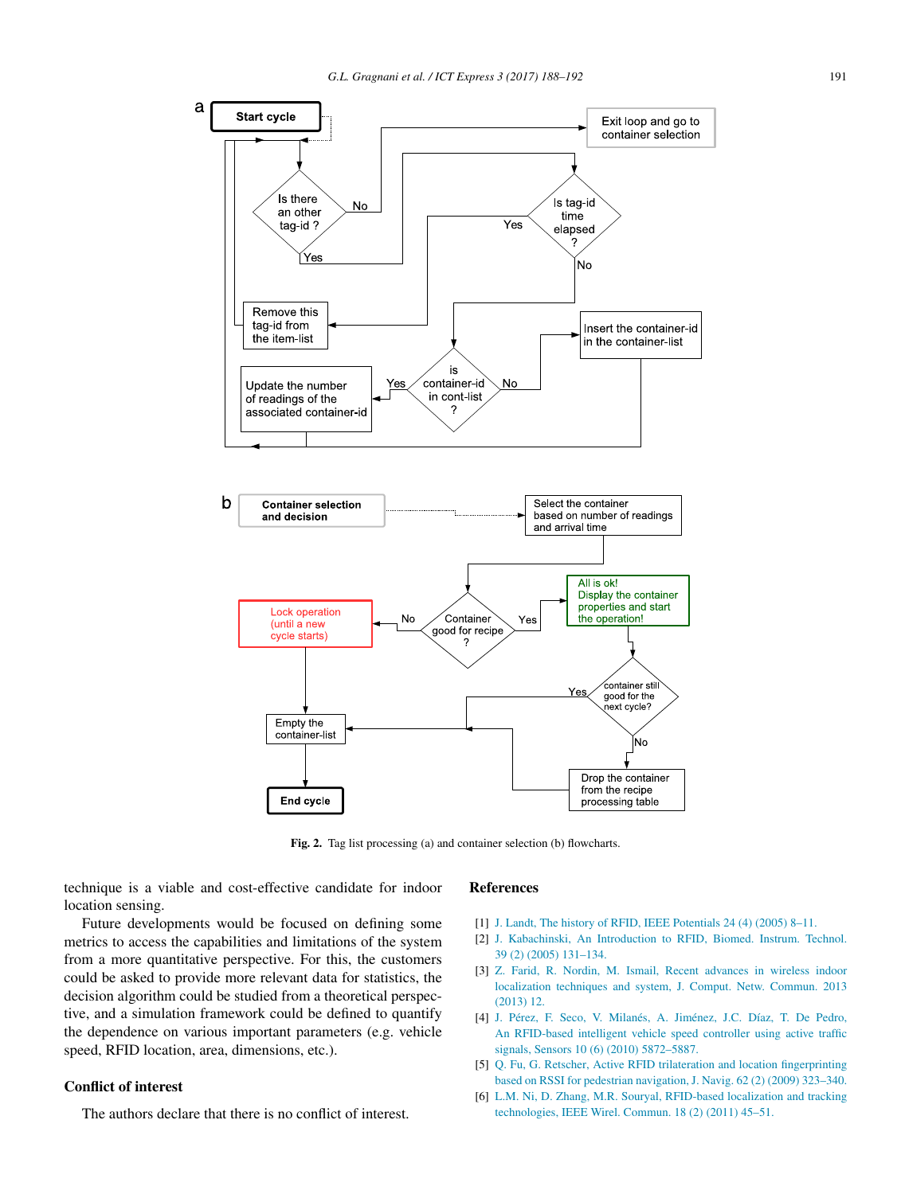<span id="page-3-6"></span>

Fig. 2. Tag list processing (a) and container selection (b) flowcharts.

technique is a viable and cost-effective candidate for indoor location sensing.

# Future developments would be focused on defining some metrics to access the capabilities and limitations of the system from a more quantitative perspective. For this, the customers could be asked to provide more relevant data for statistics, the decision algorithm could be studied from a theoretical perspective, and a simulation framework could be defined to quantify the dependence on various important parameters (e.g. vehicle speed, RFID location, area, dimensions, etc.).

## Conflict of interest

The authors declare that there is no conflict of interest.

## References

- <span id="page-3-0"></span>[1] [J. Landt, The history of RFID, IEEE Potentials 24 \(4\) \(2005\) 8–11.](http://refhub.elsevier.com/S2405-9595(17)30270-9/sb1)
- <span id="page-3-1"></span>[2] [J. Kabachinski, An Introduction to RFID, Biomed. Instrum. Technol.](http://refhub.elsevier.com/S2405-9595(17)30270-9/sb2) [39 \(2\) \(2005\) 131–134.](http://refhub.elsevier.com/S2405-9595(17)30270-9/sb2)
- <span id="page-3-2"></span>[3] [Z. Farid, R. Nordin, M. Ismail, Recent advances in wireless indoor](http://refhub.elsevier.com/S2405-9595(17)30270-9/sb3) [localization techniques and system, J. Comput. Netw. Commun. 2013](http://refhub.elsevier.com/S2405-9595(17)30270-9/sb3) [\(2013\) 12.](http://refhub.elsevier.com/S2405-9595(17)30270-9/sb3)
- <span id="page-3-3"></span>[4] [J. Pérez, F. Seco, V. Milanés, A. Jiménez, J.C. Díaz, T. De Pedro,](http://refhub.elsevier.com/S2405-9595(17)30270-9/sb4) [An RFID-based intelligent vehicle speed controller using active traffic](http://refhub.elsevier.com/S2405-9595(17)30270-9/sb4) [signals, Sensors 10 \(6\) \(2010\) 5872–5887.](http://refhub.elsevier.com/S2405-9595(17)30270-9/sb4)
- <span id="page-3-4"></span>[5] [Q. Fu, G. Retscher, Active RFID trilateration and location fingerprinting](http://refhub.elsevier.com/S2405-9595(17)30270-9/sb5) [based on RSSI for pedestrian navigation, J. Navig. 62 \(2\) \(2009\) 323–340.](http://refhub.elsevier.com/S2405-9595(17)30270-9/sb5)
- <span id="page-3-5"></span>[6] [L.M. Ni, D. Zhang, M.R. Souryal, RFID-based localization and tracking](http://refhub.elsevier.com/S2405-9595(17)30270-9/sb6) [technologies, IEEE Wirel. Commun. 18 \(2\) \(2011\) 45–51.](http://refhub.elsevier.com/S2405-9595(17)30270-9/sb6)